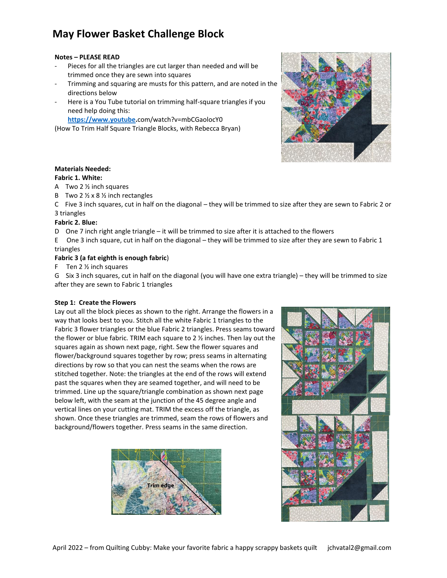# **May Flower Basket Challenge Block**

#### **Notes – PLEASE READ**

- Pieces for all the triangles are cut larger than needed and will be trimmed once they are sewn into squares
- Trimming and squaring are musts for this pattern, and are noted in the directions below
- Here is a You Tube tutorial on trimming half-square triangles if you need help doing this:

**[https://www.youtube.](https://www.youtube/)**com/watch?v=mbCGaolocY0

(How To Trim Half Square Triangle Blocks, with Rebecca Bryan)



### **Materials Needed:**

#### **Fabric 1. White:**

- A Two 2 ½ inch squares
- B Two 2  $\frac{1}{2}$  x 8  $\frac{1}{2}$  inch rectangles

C Five 3 inch squares, cut in half on the diagonal – they will be trimmed to size after they are sewn to Fabric 2 or 3 triangles

#### **Fabric 2. Blue:**

D One 7 inch right angle triangle – it will be trimmed to size after it is attached to the flowers

E One 3 inch square, cut in half on the diagonal – they will be trimmed to size after they are sewn to Fabric 1 triangles

#### **Fabric 3 (a fat eighth is enough fabric**)

F Ten 2 ½ inch squares

G Six 3 inch squares, cut in half on the diagonal (you will have one extra triangle) – they will be trimmed to size after they are sewn to Fabric 1 triangles

#### **Step 1: Create the Flowers**

Lay out all the block pieces as shown to the right. Arrange the flowers in a way that looks best to you. Stitch all the white Fabric 1 triangles to the Fabric 3 flower triangles or the blue Fabric 2 triangles. Press seams toward the flower or blue fabric. TRIM each square to 2 ½ inches. Then lay out the squares again as shown next page, right. Sew the flower squares and flower/background squares together by row; press seams in alternating directions by row so that you can nest the seams when the rows are stitched together. Note: the triangles at the end of the rows will extend past the squares when they are seamed together, and will need to be trimmed. Line up the square/triangle combination as shown next page below left, with the seam at the junction of the 45 degree angle and vertical lines on your cutting mat. TRIM the excess off the triangle, as shown. Once these triangles are trimmed, seam the rows of flowers and background/flowers together. Press seams in the same direction.